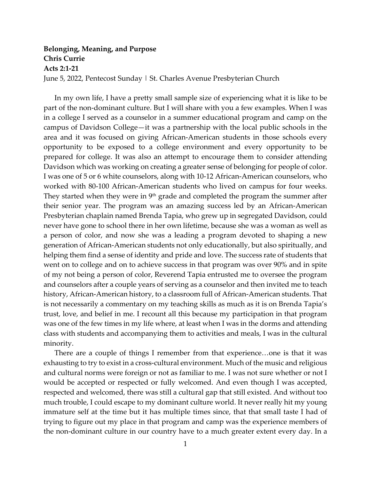## **Belonging, Meaning, and Purpose Chris Currie Acts 2:1-21** June 5, 2022, Pentecost Sunday | St. Charles Avenue Presbyterian Church

In my own life, I have a pretty small sample size of experiencing what it is like to be part of the non-dominant culture. But I will share with you a few examples. When I was in a college I served as a counselor in a summer educational program and camp on the campus of Davidson College—it was a partnership with the local public schools in the area and it was focused on giving African-American students in those schools every opportunity to be exposed to a college environment and every opportunity to be prepared for college. It was also an attempt to encourage them to consider attending Davidson which was working on creating a greater sense of belonging for people of color. I was one of 5 or 6 white counselors, along with 10-12 African-American counselors, who worked with 80-100 African-American students who lived on campus for four weeks. They started when they were in  $9<sup>th</sup>$  grade and completed the program the summer after their senior year. The program was an amazing success led by an African-American Presbyterian chaplain named Brenda Tapia, who grew up in segregated Davidson, could never have gone to school there in her own lifetime, because she was a woman as well as a person of color, and now she was a leading a program devoted to shaping a new generation of African-American students not only educationally, but also spiritually, and helping them find a sense of identity and pride and love. The success rate of students that went on to college and on to achieve success in that program was over 90% and in spite of my not being a person of color, Reverend Tapia entrusted me to oversee the program and counselors after a couple years of serving as a counselor and then invited me to teach history, African-American history, to a classroom full of African-American students. That is not necessarily a commentary on my teaching skills as much as it is on Brenda Tapia's trust, love, and belief in me. I recount all this because my participation in that program was one of the few times in my life where, at least when I was in the dorms and attending class with students and accompanying them to activities and meals, I was in the cultural minority.

There are a couple of things I remember from that experience…one is that it was exhausting to try to exist in a cross-cultural environment. Much of the music and religious and cultural norms were foreign or not as familiar to me. I was not sure whether or not I would be accepted or respected or fully welcomed. And even though I was accepted, respected and welcomed, there was still a cultural gap that still existed. And without too much trouble, I could escape to my dominant culture world. It never really hit my young immature self at the time but it has multiple times since, that that small taste I had of trying to figure out my place in that program and camp was the experience members of the non-dominant culture in our country have to a much greater extent every day. In a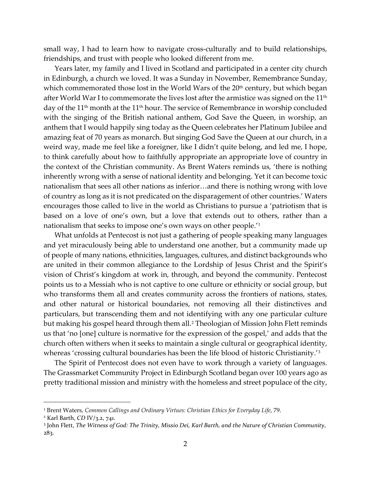small way, I had to learn how to navigate cross-culturally and to build relationships, friendships, and trust with people who looked different from me.

Years later, my family and I lived in Scotland and participated in a center city church in Edinburgh, a church we loved. It was a Sunday in November, Remembrance Sunday, which commemorated those lost in the World Wars of the  $20<sup>th</sup>$  century, but which began after World War I to commemorate the lives lost after the armistice was signed on the  $11<sup>th</sup>$ day of the 11<sup>th</sup> month at the 11<sup>th</sup> hour. The service of Remembrance in worship concluded with the singing of the British national anthem, God Save the Queen, in worship, an anthem that I would happily sing today as the Queen celebrates her Platinum Jubilee and amazing feat of 70 years as monarch. But singing God Save the Queen at our church, in a weird way, made me feel like a foreigner, like I didn't quite belong, and led me, I hope, to think carefully about how to faithfully appropriate an appropriate love of country in the context of the Christian community. As Brent Waters reminds us, 'there is nothing inherently wrong with a sense of national identity and belonging. Yet it can become toxic nationalism that sees all other nations as inferior…and there is nothing wrong with love of country as long as it is not predicated on the disparagement of other countries.' Waters encourages those called to live in the world as Christians to pursue a 'patriotism that is based on a love of one's own, but a love that extends out to others, rather than a nationalism that seeks to impose one's own ways on other people.'[1](#page-1-0)

What unfolds at Pentecost is not just a gathering of people speaking many languages and yet miraculously being able to understand one another, but a community made up of people of many nations, ethnicities, languages, cultures, and distinct backgrounds who are united in their common allegiance to the Lordship of Jesus Christ and the Spirit's vision of Christ's kingdom at work in, through, and beyond the community. Pentecost points us to a Messiah who is not captive to one culture or ethnicity or social group, but who transforms them all and creates community across the frontiers of nations, states, and other natural or historical boundaries, not removing all their distinctives and particulars, but transcending them and not identifying with any one particular culture but making his gospel heard through them all.[2](#page-1-1) Theologian of Mission John Flett reminds us that 'no [one] culture is normative for the expression of the gospel,' and adds that the church often withers when it seeks to maintain a single cultural or geographical identity, whereas 'crossing cultural boundaries has been the life blood of historic Christianity.'[3](#page-1-2)

The Spirit of Pentecost does not even have to work through a variety of languages. The Grassmarket Community Project in Edinburgh Scotland began over 100 years ago as pretty traditional mission and ministry with the homeless and street populace of the city,

<span id="page-1-0"></span><sup>1</sup> Brent Waters, *Common Callings and Ordinary Virtues: Christian Ethics for Everyday Life*, 79.

<span id="page-1-1"></span><sup>2</sup> Karl Barth, *CD* IV/3.2, 741.

<span id="page-1-2"></span><sup>3</sup> John Flett, *The Witness of God: The Trinity, Missio Dei, Karl Barth, and the Nature of Christian Community*, 283.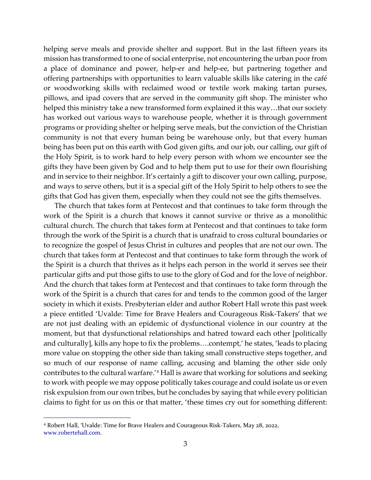helping serve meals and provide shelter and support. But in the last fifteen years its mission has transformed to one of social enterprise, not encountering the urban poor from a place of dominance and power, help-er and help-ee, but partnering together and offering partnerships with opportunities to learn valuable skills like catering in the café or woodworking skills with reclaimed wood or textile work making tartan purses, pillows, and ipad covers that are served in the community gift shop. The minister who helped this ministry take a new transformed form explained it this way…that our society has worked out various ways to warehouse people, whether it is through government programs or providing shelter or helping serve meals, but the conviction of the Christian community is not that every human being be warehouse only, but that every human being has been put on this earth with God given gifts, and our job, our calling, our gift of the Holy Spirit, is to work hard to help every person with whom we encounter see the gifts they have been given by God and to help them put to use for their own flourishing and in service to their neighbor. It's certainly a gift to discover your own calling, purpose, and ways to serve others, but it is a special gift of the Holy Spirit to help others to see the gifts that God has given them, especially when they could not see the gifts themselves.

The church that takes form at Pentecost and that continues to take form through the work of the Spirit is a church that knows it cannot survive or thrive as a monolithic cultural church. The church that takes form at Pentecost and that continues to take form through the work of the Spirit is a church that is unafraid to cross cultural boundaries or to recognize the gospel of Jesus Christ in cultures and peoples that are not our own. The church that takes form at Pentecost and that continues to take form through the work of the Spirit is a church that thrives as it helps each person in the world it serves see their particular gifts and put those gifts to use to the glory of God and for the love of neighbor. And the church that takes form at Pentecost and that continues to take form through the work of the Spirit is a church that cares for and tends to the common good of the larger society in which it exists. Presbyterian elder and author Robert Hall wrote this past week a piece entitled 'Uvalde: Time for Brave Healers and Courageous Risk-Takers' that we are not just dealing with an epidemic of dysfunctional violence in our country at the moment, but that dysfunctional relationships and hatred toward each other [politically and culturally], kills any hope to fix the problems….contempt,' he states, 'leads to placing more value on stopping the other side than taking small constructive steps together, and so much of our response of name calling, accusing and blaming the other side only contributes to the cultural warfare.'[4](#page-2-0) Hall is aware that working for solutions and seeking to work with people we may oppose politically takes courage and could isolate us or even risk expulsion from our own tribes, but he concludes by saying that while every politician claims to fight for us on this or that matter, 'these times cry out for something different:

<span id="page-2-0"></span><sup>4</sup> Robert Hall, 'Uvalde: Time for Brave Healers and Courageous Risk-Takers, May 28, 2022, [www.robertehall.com.](http://www.robertehall.com/)